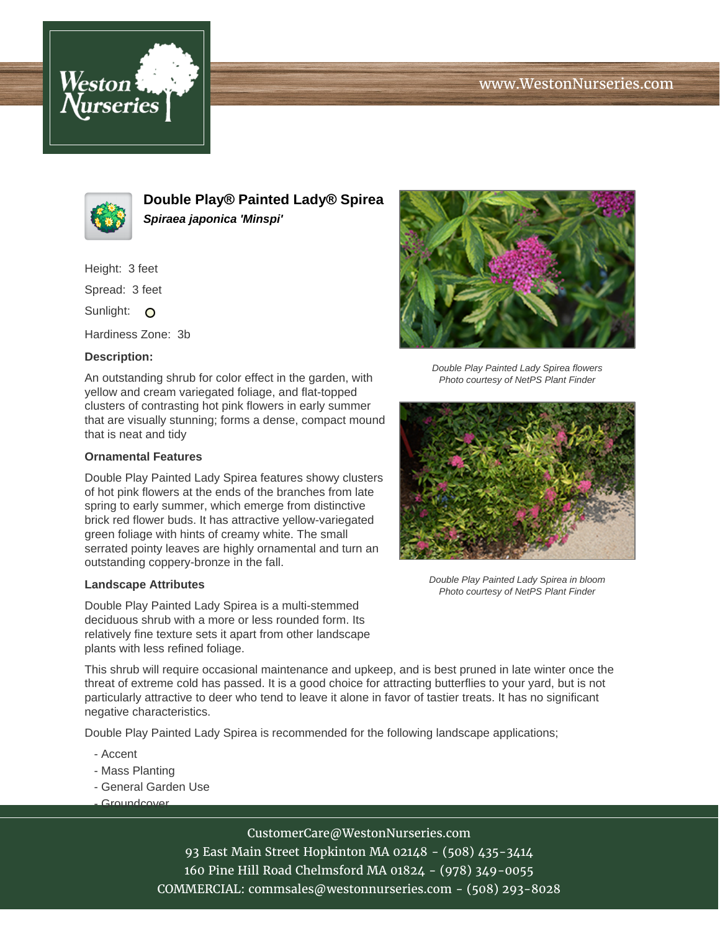# www.WestonNurseries.com





**Double Play® Painted Lady® Spirea Spiraea japonica 'Minspi'**

Height: 3 feet

Spread: 3 feet

Sunlight: O

Hardiness Zone: 3b

### **Description:**

An outstanding shrub for color effect in the garden, with yellow and cream variegated foliage, and flat-topped clusters of contrasting hot pink flowers in early summer that are visually stunning; forms a dense, compact mound that is neat and tidy

#### **Ornamental Features**

Double Play Painted Lady Spirea features showy clusters of hot pink flowers at the ends of the branches from late spring to early summer, which emerge from distinctive brick red flower buds. It has attractive yellow-variegated green foliage with hints of creamy white. The small serrated pointy leaves are highly ornamental and turn an outstanding coppery-bronze in the fall.

#### **Landscape Attributes**

Double Play Painted Lady Spirea is a multi-stemmed deciduous shrub with a more or less rounded form. Its relatively fine texture sets it apart from other landscape plants with less refined foliage.

Double Play Painted Lady Spirea flowers Photo courtesy of NetPS Plant Finder



Double Play Painted Lady Spirea in bloom Photo courtesy of NetPS Plant Finder

This shrub will require occasional maintenance and upkeep, and is best pruned in late winter once the threat of extreme cold has passed. It is a good choice for attracting butterflies to your yard, but is not particularly attractive to deer who tend to leave it alone in favor of tastier treats. It has no significant negative characteristics.

Double Play Painted Lady Spirea is recommended for the following landscape applications;

- Accent
- Mass Planting
- General Garden Use
- Groundcover

# CustomerCare@WestonNurseries.com

93 East Main Street Hopkinton MA 02148 - (508) 435-3414 160 Pine Hill Road Chelmsford MA 01824 - (978) 349-0055 COMMERCIAL: commsales@westonnurseries.com - (508) 293-8028